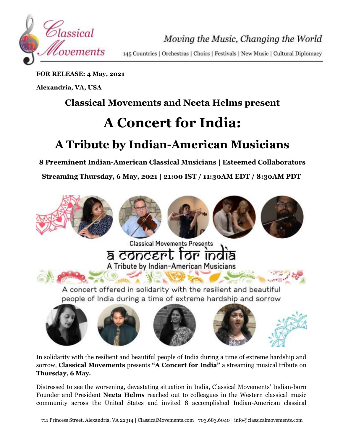

Moving the Music, Changing the World

145 Countries | Orchestras | Choirs | Festivals | New Music | Cultural Diplomacy

**FOR RELEASE: 4 May, 2021**

**Alexandria, VA, USA**

## **Classical Movements and Neeta Helms present**

# **A Concert for India:**

## **A Tribute by Indian-American Musicians**

**8 Preeminent Indian-American Classical Musicians | Esteemed Collaborators**

**Streaming Thursday, 6 May, 2021 | 21:00 IST / 11:30AM EDT / 8:30AM PDT**





In solidarity with the resilient and beautiful people of India during a time of extreme hardship and sorrow, **Classical Movements** presents **"A Concert for India"** a streaming musical tribute on **Thursday, 6 May.**

Distressed to see the worsening, devastating situation in India, Classical Movements' Indian-born Founder and President **Neeta Helms** reached out to colleagues in the Western classical music community across the United States and invited 8 accomplished Indian-American classical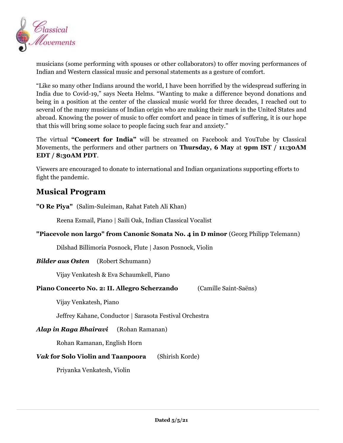

musicians (some performing with spouses or other collaborators) to offer moving performances of Indian and Western classical music and personal statements as a gesture of comfort.

"Like so many other Indians around the world, I have been horrified by the widespread suffering in India due to Covid-19," says Neeta Helms. "Wanting to make a difference beyond donations and being in a position at the center of the classical music world for three decades, I reached out to several of the many musicians of Indian origin who are making their mark in the United States and abroad. Knowing the power of music to offer comfort and peace in times of suffering, it is our hope that this will bring some solace to people facing such fear and anxiety."

The virtual **"Concert for India"** will be streamed on Facebook and YouTube by Classical Movements, the performers and other partners on **Thursday, 6 May** at **9pm IST / 11:30AM EDT / 8:30AM PDT**.

Viewers are encouraged to donate to international and Indian organizations supporting efforts to fight the pandemic.

### **Musical Program**

**"O Re Piya"** (Salim-Suleiman, Rahat Fateh Ali Khan)

Reena Esmail, Piano | Saili Oak, Indian Classical Vocalist

**"Piacevole non largo" from Canonic Sonata No. 4 in D minor** (Georg Philipp Telemann)

Dilshad Billimoria Posnock, Flute | Jason Posnock, Violin

#### *Bilder aus Osten* (Robert Schumann)

Vijay Venkatesh & Eva Schaumkell, Piano

#### **Piano Concerto No. 2: II. Allegro Scherzando** (Camille Saint-Saëns)

Vijay Venkatesh, Piano

Jeffrey Kahane, Conductor | Sarasota Festival Orchestra

#### *Alap in Raga Bhairavi* (Rohan Ramanan)

Rohan Ramanan, English Horn

#### *Vak* **for Solo Violin and Taanpoora** (Shirish Korde)

Priyanka Venkatesh, Violin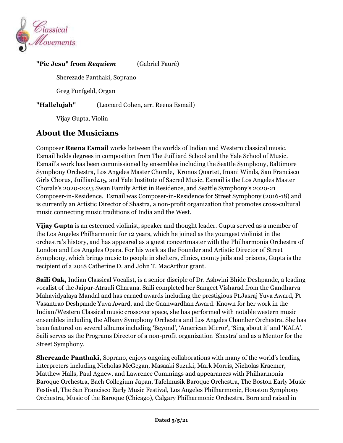

#### **"Pie Jesu" from** *Requiem* (Gabriel Fauré)

Sherezade Panthaki, Soprano

Greg Funfgeld, Organ

**"Hallelujah"** (Leonard Cohen, arr. Reena Esmail)

Vijay Gupta, Violin

## **About the Musicians**

Composer **Reena Esmail** works between the worlds of Indian and Western classical music. Esmail holds degrees in composition from The Juilliard School and the Yale School of Music. Esmail's work has been commissioned by ensembles including the Seattle Symphony, Baltimore Symphony Orchestra, Los Angeles Master Chorale, Kronos Quartet, Imani Winds, San Francisco Girls Chorus, Juilliard415, and Yale Institute of Sacred Music. Esmail is the Los Angeles Master Chorale's 2020-2023 Swan Family Artist in Residence, and Seattle Symphony's 2020-21 Composer-in-Residence. Esmail was Composer-in-Residence for Street Symphony (2016-18) and is currently an Artistic Director of Shastra, a non-profit organization that promotes cross-cultural music connecting music traditions of India and the West.

**Vijay Gupta** is an esteemed violinist, speaker and thought leader. Gupta served as a member of the Los Angeles Philharmonic for 12 years, which he joined as the youngest violinist in the orchestra's history, and has appeared as a guest concertmaster with the Philharmonia Orchestra of London and Los Angeles Opera. For his work as the Founder and Artistic Director of Street Symphony, which brings music to people in shelters, clinics, county jails and prisons, Gupta is the recipient of a 2018 Catherine D. and John T. MacArthur grant.

**Saili Oak,** Indian Classical Vocalist, is a senior disciple of Dr. Ashwini Bhide Deshpande, a leading vocalist of the Jaipur-Atrauli Gharana. Saili completed her Sangeet Visharad from the Gandharva Mahavidyalaya Mandal and has earned awards including the prestigious Pt.Jasraj Yuva Award, Pt Vasantrao Deshpande Yuva Award, and the Gaanwardhan Award. Known for her work in the Indian/Western Classical music crossover space, she has performed with notable western music ensembles including the Albany Symphony Orchestra and Los Angeles Chamber Orchestra. She has been featured on several albums including 'Beyond', 'American Mirror', 'Sing about it' and 'KALA'. Saili serves as the Programs Director of a non-profit organization 'Shastra' and as a Mentor for the Street Symphony.

**Sherezade Panthaki,** Soprano, enjoys ongoing collaborations with many of the world's leading interpreters including Nicholas McGegan, Masaaki Suzuki, Mark Morris, Nicholas Kraemer, Matthew Halls, Paul Agnew, and Lawrence Cummings and appearances with Philharmonia Baroque Orchestra, Bach Collegium Japan, Tafelmusik Baroque Orchestra, The Boston Early Music Festival, The San Francisco Early Music Festival, Los Angeles Philharmonic, Houston Symphony Orchestra, Music of the Baroque (Chicago), Calgary Philharmonic Orchestra. Born and raised in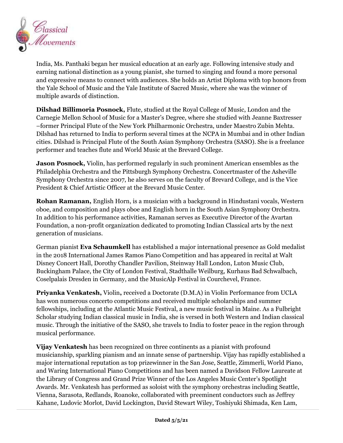

India, Ms. Panthaki began her musical education at an early age. Following intensive study and earning national distinction as a young pianist, she turned to singing and found a more personal and expressive means to connect with audiences. She holds an Artist Diploma with top honors from the Yale School of Music and the Yale Institute of Sacred Music, where she was the winner of multiple awards of distinction.

**Dilshad Billimoria Posnock,** Flute, studied at the Royal College of Music, London and the Carnegie Mellon School of Music for a Master's Degree, where she studied with Jeanne Baxtresser –former Principal Flute of the New York Philharmonic Orchestra, under Maestro Zubin Mehta. Dilshad has returned to India to perform several times at the NCPA in Mumbai and in other Indian cities. Dilshad is Principal Flute of the South Asian Symphony Orchestra (SASO). She is a freelance performer and teaches flute and World Music at the Brevard College.

**Jason Posnock,** Violin, has performed regularly in such prominent American ensembles as the Philadelphia Orchestra and the Pittsburgh Symphony Orchestra. Concertmaster of the Asheville Symphony Orchestra since 2007, he also serves on the faculty of Brevard College, and is the Vice President & Chief Artistic Officer at the Brevard Music Center.

**Rohan Ramanan,** English Horn, is a musician with a background in Hindustani vocals, Western oboe, and composition and plays oboe and English horn in the South Asian Symphony Orchestra. In addition to his performance activities, Ramanan serves as Executive Director of the Avartan Foundation, a non-profit organization dedicated to promoting Indian Classical arts by the next generation of musicians.

German pianist **Eva Schaumkell** has established a major international presence as Gold medalist in the 2018 International James Ramos Piano Competition and has appeared in recital at Walt Disney Concert Hall, Dorothy Chandler Pavilion, Steinway Hall London, Luton Music Club, Buckingham Palace, the City of London Festival, Stadthalle Weilburg, Kurhaus Bad Schwalbach, Coselpalais Dresden in Germany, and the MusicAlp Festival in Courchevel, France.

**Priyanka Venkatesh,** Violin**,** received a Doctorate (D.M.A) in Violin Performance from UCLA has won numerous concerto competitions and received multiple scholarships and summer fellowships, including at the Atlantic Music Festival, a new music festival in Maine. As a Fulbright Scholar studying Indian classical music in India, she is versed in both Western and Indian classical music. Through the initiative of the SASO, she travels to India to foster peace in the region through musical performance.

**Vijay Venkatesh** has been recognized on three continents as a pianist with profound musicianship, sparkling pianism and an innate sense of partnership. Vijay has rapidly established a major international reputation as top prizewinner in the San Jose, Seattle, Zimmerli, World Piano, and Waring International Piano Competitions and has been named a Davidson Fellow Laureate at the Library of Congress and Grand Prize Winner of the Los Angeles Music Center's Spotlight Awards. Mr. Venkatesh has performed as soloist with the symphony orchestras including Seattle, Vienna, Sarasota, Redlands, Roanoke, collaborated with preeminent conductors such as Jeffrey Kahane, Ludovic Morlot, David Lockington, David Stewart Wiley, Toshiyuki Shimada, Ken Lam,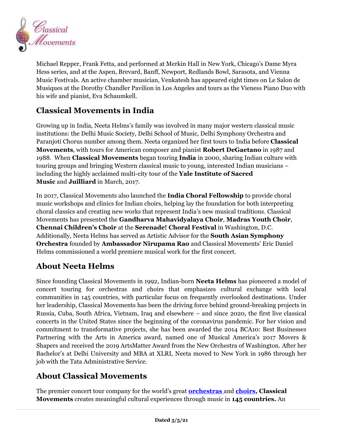

Michael Repper, Frank Fetta, and performed at Merkin Hall in New York, Chicago's Dame Myra Hess series, and at the Aspen, Brevard, Banff, Newport, Redlands Bowl, Sarasota, and Vienna Music Festivals. An active chamber musician, Venkatesh has appeared eight times on Le Salon de Musiques at the Dorothy Chandler Pavilion in Los Angeles and tours as the Vieness Piano Duo with his wife and pianist, Eva Schaumkell.

## **Classical Movements in India**

Growing up in India, Neeta Helms's family was involved in many major western classical music institutions: the Delhi Music Society, Delhi School of Music, Delhi Symphony Orchestra and Paranjoti Chorus number among them. Neeta organized her first tours to India before **Classical Movements**, with tours for American composer and pianist **Robert DeGaetano** in 1987 and 1988. When **Classical Movements** began touring **India** in 2000, sharing Indian culture with touring groups and bringing Western classical music to young, interested Indian musicians – including the highly acclaimed multi-city tour of the **Yale Institute of Sacred Music** and **Juilliard** in March, 2017.

In 2017, Classical Movements also launched the **India Choral Fellowship** to provide choral music workshops and clinics for Indian choirs, helping lay the foundation for both interpreting choral classics and creating new works that represent India's new musical traditions. Classical Movements has presented the **Gandharva Mahavidyalaya Choir**, **Madras Youth Choir**, **Chennai Children's Choir** at the **Serenade! Choral Festival** in Washington, D.C. Additionally, Neeta Helms has served as Artistic Advisor for the **South Asian Symphony Orchestra** founded by **Ambassador Nirupama Rao** and Classical Movements' Eric Daniel Helms commissioned a world premiere musical work for the first concert.

### **About Neeta Helms**

Since founding Classical Movements in 1992, Indian-born **Neeta Helms** has pioneered a model of concert touring for orchestras and choirs that emphasizes cultural exchange with local communities in 145 countries, with particular focus on frequently overlooked destinations. Under her leadership, Classical Movements has been the driving force behind ground-breaking projects in Russia, Cuba, South Africa, Vietnam, Iraq and elsewhere – and since 2020, the first live classical concerts in the United States since the beginning of the coronavirus pandemic. For her vision and commitment to transformative projects, she has been awarded the 2014 BCA10: Best Businesses Partnering with the Arts in America award, named one of Musical America's 2017 Movers & Shapers and received the 2019 ArtsMatter Award from the New Orchestra of Washington. After her Bachelor's at Delhi University and MBA at XLRI, Neeta moved to New York in 1986 through her job with the Tata Administrative Service.

## **About Classical Movements**

The premier concert tour company for the world's great **[orchestras](https://www.classicalmovements.com/orchestras/)** and **[choirs,](https://www.classicalmovements.com/choirs/) Classical Movements** creates meaningful cultural experiences through music in **145 countries.** An